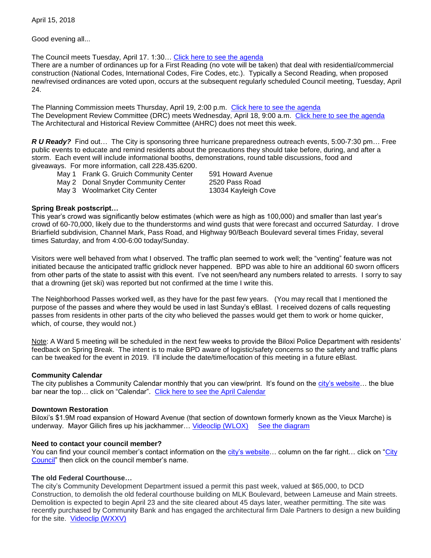April 15, 2018

Good evening all...

The Council meets Tuesday, April 17. 1:30… [Click here to see the agenda](https://www.biloxi.ms.us/agendas/citycouncil/2018/041718/041718agenda.pdf)

There are a number of ordinances up for a First Reading (no vote will be taken) that deal with residential/commercial construction (National Codes, International Codes, Fire Codes, etc.). Typically a Second Reading, when proposed new/revised ordinances are voted upon, occurs at the subsequent regularly scheduled Council meeting, Tuesday, April 24.

The Planning Commission meets Thursday, April 19, 2:00 p.m. [Click here to see the agenda](https://www.biloxi.ms.us/agendas/planning/2018/PC-04-19-18.pdf) The Development Review Committee (DRC) meets Wednesday, April 18, 9:00 a.m. [Click here to see the agenda](https://www.biloxi.ms.us/agendas/DRC/2018/DRC-2018-04-18.pdf) The Architectural and Historical Review Committee (AHRC) does not meet this week.

*R U Ready?* Find out… The City is sponsoring three hurricane preparedness outreach events, 5:00-7:30 pm… Free public events to educate and remind residents about the precautions they should take before, during, and after a storm. Each event will include informational booths, demonstrations, round table discussions, food and giveaways. For more information, call 228.435.6200.

- May 1 Frank G. Gruich Community Center 591 Howard Avenue
- May 2 Donal Snyder Community Center 2520 Pass Road

May 3 Woolmarket City Center 13034 Kayleigh Cove

## **Spring Break postscript…**

This year's crowd was significantly below estimates (which were as high as 100,000) and smaller than last year's crowd of 60-70,000, likely due to the thunderstorms and wind gusts that were forecast and occurred Saturday. I drove Briarfield subdivision, Channel Mark, Pass Road, and Highway 90/Beach Boulevard several times Friday, several times Saturday, and from 4:00-6:00 today/Sunday.

Visitors were well behaved from what I observed. The traffic plan seemed to work well; the "venting" feature was not initiated because the anticipated traffic gridlock never happened. BPD was able to hire an additional 60 sworn officers from other parts of the state to assist with this event. I've not seen/heard any numbers related to arrests. I sorry to say that a drowning (jet ski) was reported but not confirmed at the time I write this.

The Neighborhood Passes worked well, as they have for the past few years. (You may recall that I mentioned the purpose of the passes and where they would be used in last Sunday's eBlast. I received dozens of calls requesting passes from residents in other parts of the city who believed the passes would get them to work or home quicker, which, of course, they would not.)

Note: A Ward 5 meeting will be scheduled in the next few weeks to provide the Biloxi Police Department with residents' feedback on Spring Break. The intent is to make BPD aware of logistic/safety concerns so the safety and traffic plans can be tweaked for the event in 2019. I'll include the date/time/location of this meeting in a future eBlast.

## **Community Calendar**

The city publishes a Community Calendar monthly that you can view/print. It's found on the city's website... the blue bar near the top... click on "Calendar". [Click here to see the April Calendar](https://www.biloxi.ms.us/wp-content/uploads/2018/04/Calendar-April2018-web.pdf)

## **Downtown Restoration**

Biloxi's \$1.9M road expansion of Howard Avenue (that section of downtown formerly known as the Vieux Marche) is underway. Mayor Gilich fires up his jackhammer... [Videoclip \(WLOX\)](http://www.wlox.com/clip/14261585/biloxi-breaks-ground-on-howard-ave-project) See the diagram

## **Need to contact your council member?**

You can find your council member's contact information on the [city's website…](https://www.biloxi.ms.us/) column on the far right… click on ["City](https://www.biloxi.ms.us/departments/city-council/)  [Council"](https://www.biloxi.ms.us/departments/city-council/) then click on the council member's name.

## **The old Federal Courthouse…**

The city's Community Development Department issued a permit this past week, valued at \$65,000, to DCD Construction, to demolish the old federal courthouse building on MLK Boulevard, between Lameuse and Main streets. Demolition is expected to begin April 23 and the site cleared about 45 days later, weather permitting. The site was recently purchased by Community Bank and has engaged the architectural firm Dale Partners to design a new building for the site. [Videoclip \(WXXV\)](https://www.wxxv25.com/2018/02/20/old-federal-courthouse-building-biloxi-torn/)